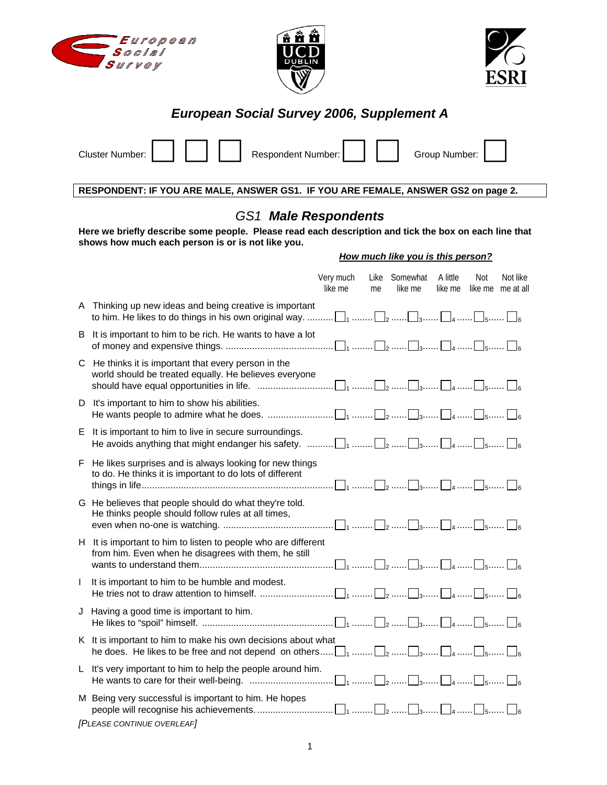





## *European Social Survey 2006, Supplement A*

|  | Cluster Number:             Respondent Number: |  | Group Number: 1 |  |
|--|------------------------------------------------|--|-----------------|--|
|  |                                                |  |                 |  |

**RESPONDENT: IF YOU ARE MALE, ANSWER GS1. IF YOU ARE FEMALE, ANSWER GS2 on page 2.** 

### *GS1 Male Respondents*

**Here we briefly describe some people. Please read each description and tick the box on each line that shows how much each person is or is not like you.** 

### *How much like you is this person?*

|              |                                                                                                                                                                                                                                                            | Very much<br>like me | me | Like Somewhat<br>like me | A little<br>like me | Not | Not like<br>like me me at all |
|--------------|------------------------------------------------------------------------------------------------------------------------------------------------------------------------------------------------------------------------------------------------------------|----------------------|----|--------------------------|---------------------|-----|-------------------------------|
|              | A Thinking up new ideas and being creative is important<br>to him. He likes to do things in his own original way. $\Box_1$ $\Box_2$ $\Box_3$ $\Box_4$ $\Box_5$ $\Box_6$                                                                                    |                      |    |                          |                     |     |                               |
|              | B It is important to him to be rich. He wants to have a lot                                                                                                                                                                                                |                      |    |                          |                     |     |                               |
|              | C He thinks it is important that every person in the<br>world should be treated equally. He believes everyone                                                                                                                                              |                      |    |                          |                     |     |                               |
|              | D It's important to him to show his abilities.                                                                                                                                                                                                             |                      |    |                          |                     |     |                               |
|              | E It is important to him to live in secure surroundings.<br>He avoids anything that might endanger his safety. $\ldots \ldots \square$ <sub>1</sub> $\square_2 \ldots \square_3 \ldots \square$ <sub>4</sub> $\square$ <sub>5</sub> $\square$ <sub>6</sub> |                      |    |                          |                     |     |                               |
| F.           | He likes surprises and is always looking for new things<br>to do. He thinks it is important to do lots of different                                                                                                                                        |                      |    |                          |                     |     |                               |
|              | G He believes that people should do what they're told.<br>He thinks people should follow rules at all times,                                                                                                                                               |                      |    |                          |                     |     |                               |
|              | H It is important to him to listen to people who are different<br>from him. Even when he disagrees with them, he still                                                                                                                                     |                      |    |                          |                     |     |                               |
| $\mathbf{I}$ | It is important to him to be humble and modest.                                                                                                                                                                                                            |                      |    |                          |                     |     |                               |
|              | J Having a good time is important to him.                                                                                                                                                                                                                  |                      |    |                          |                     |     |                               |
|              | K It is important to him to make his own decisions about what<br>he does. He likes to be free and not depend on others $\Box_1$ $\Box_2$ $\Box_3$ $\Box_4$ $\Box_5$ $\Box_6$                                                                               |                      |    |                          |                     |     |                               |
|              | L It's very important to him to help the people around him.                                                                                                                                                                                                |                      |    |                          |                     |     |                               |
|              | M Being very successful is important to him. He hopes                                                                                                                                                                                                      |                      |    |                          |                     |     |                               |
|              | [PLEASE CONTINUE OVERLEAF]                                                                                                                                                                                                                                 |                      |    |                          |                     |     |                               |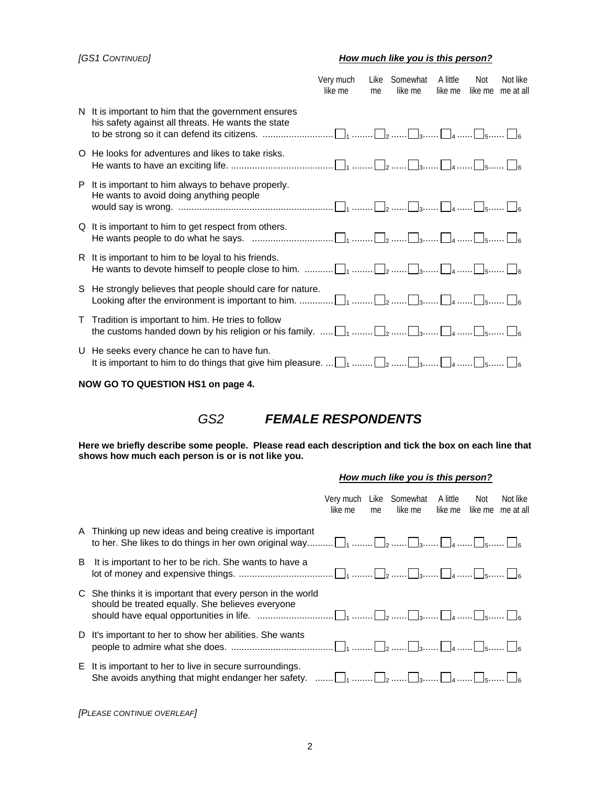### *[GS1 CONTINUED] How much like you is this person?*

|    | Not like<br>Like<br>Somewhat<br>A little<br>Not<br>Very much<br>like me<br>like me<br>like me<br>like me<br>me at all<br>me                                                                                                        |
|----|------------------------------------------------------------------------------------------------------------------------------------------------------------------------------------------------------------------------------------|
|    | N It is important to him that the government ensures<br>his safety against all threats. He wants the state                                                                                                                         |
|    | O He looks for adventures and likes to take risks.                                                                                                                                                                                 |
| P. | It is important to him always to behave properly.<br>He wants to avoid doing anything people                                                                                                                                       |
|    | Q It is important to him to get respect from others.<br>He wants people to do what he says. $\ldots$ $\ldots$ $\ldots$ $\ldots$ $\ldots$ $\ldots$ $\ldots$ $\ldots$ $\ldots$ $\ldots$ $\ldots$ $\ldots$ $\ldots$ $\ldots$ $\ldots$ |
|    | R It is important to him to be loyal to his friends.                                                                                                                                                                               |
|    | S He strongly believes that people should care for nature.                                                                                                                                                                         |
|    | T Tradition is important to him. He tries to follow<br>the customs handed down by his religion or his family. $\ldots$ . $\Box_1$ $\Box_2$ $\Box_3$ $\Box_4$ $\Box_5$ $\Box_6$                                                     |
|    | U He seeks every chance he can to have fun.<br>It is important to him to do things that give him pleasure. $\Box_1$ $\Box_2$ $\Box_3$ $\Box_4$ $\Box_5$ $\Box_6$                                                                   |

### **NOW GO TO QUESTION HS1 on page 4.**

*GS2 FEMALE RESPONDENTS* 

**Here we briefly describe some people. Please read each description and tick the box on each line that shows how much each person is or is not like you.** 

#### *How much like you is this person?*

|   |                                                                                                                                                                                                                                | like me | me | Very much Like Somewhat A little<br>like me | – Not<br>like me like me | Not like<br>me at all |
|---|--------------------------------------------------------------------------------------------------------------------------------------------------------------------------------------------------------------------------------|---------|----|---------------------------------------------|--------------------------|-----------------------|
|   | A Thinking up new ideas and being creative is important                                                                                                                                                                        |         |    |                                             |                          |                       |
| B | It is important to her to be rich. She wants to have a                                                                                                                                                                         |         |    |                                             |                          |                       |
|   | C She thinks it is important that every person in the world<br>should be treated equally. She believes everyone                                                                                                                |         |    |                                             |                          |                       |
|   | D It's important to her to show her abilities. She wants                                                                                                                                                                       |         |    |                                             |                          |                       |
|   | E It is important to her to live in secure surroundings.<br>She avoids anything that might endanger her safety. $\ldots \ldots \square_1 \ldots \square_2 \ldots \square_3 \ldots \square_4 \ldots \square_5 \ldots \square_6$ |         |    |                                             |                          |                       |

*[PLEASE CONTINUE OVERLEAF]*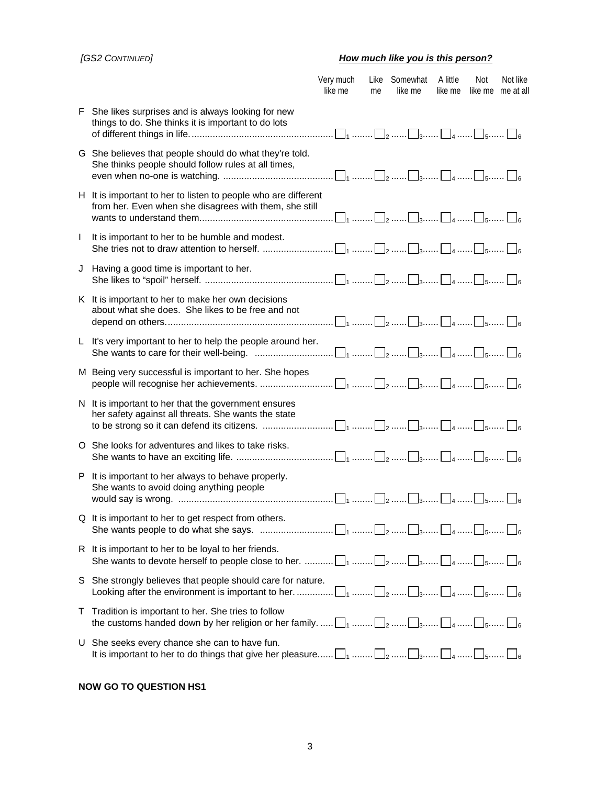### *[GS2 CONTINUED] How much like you is this person?*

|              |                                                                                                                                                                                                                                               | Very much<br>like me | me | Like Somewhat<br>like me | A little<br>like me | <b>Not</b> | Not like<br>like me me at all |
|--------------|-----------------------------------------------------------------------------------------------------------------------------------------------------------------------------------------------------------------------------------------------|----------------------|----|--------------------------|---------------------|------------|-------------------------------|
|              | F She likes surprises and is always looking for new<br>things to do. She thinks it is important to do lots                                                                                                                                    |                      |    |                          |                     |            |                               |
|              | G She believes that people should do what they're told.<br>She thinks people should follow rules at all times,                                                                                                                                |                      |    |                          |                     |            |                               |
|              | H It is important to her to listen to people who are different<br>from her. Even when she disagrees with them, she still                                                                                                                      |                      |    |                          |                     |            |                               |
| $\mathbf{I}$ | It is important to her to be humble and modest.                                                                                                                                                                                               |                      |    |                          |                     |            |                               |
|              | J Having a good time is important to her.                                                                                                                                                                                                     |                      |    |                          |                     |            |                               |
|              | K It is important to her to make her own decisions<br>about what she does. She likes to be free and not                                                                                                                                       |                      |    |                          |                     |            |                               |
|              | L It's very important to her to help the people around her.<br>She wants to care for their well-being. $\ldots$ $\ldots$ $\ldots$ $\ldots$ $\ldots$ $\ldots$ $\ldots$ $\ldots$ $\ldots$ $\ldots$ $\ldots$ $\ldots$ $\ldots$ $\ldots$ $\ldots$ |                      |    |                          |                     |            |                               |
|              | M Being very successful is important to her. She hopes                                                                                                                                                                                        |                      |    |                          |                     |            |                               |
|              | N It is important to her that the government ensures<br>her safety against all threats. She wants the state                                                                                                                                   |                      |    |                          |                     |            |                               |
|              | O She looks for adventures and likes to take risks.                                                                                                                                                                                           |                      |    |                          |                     |            |                               |
|              | P It is important to her always to behave properly.<br>She wants to avoid doing anything people                                                                                                                                               |                      |    |                          |                     |            |                               |
|              | Q It is important to her to get respect from others.                                                                                                                                                                                          |                      |    |                          |                     |            |                               |
|              | R It is important to her to be loyal to her friends.                                                                                                                                                                                          |                      |    |                          |                     |            |                               |
| S            | She strongly believes that people should care for nature.                                                                                                                                                                                     |                      |    |                          |                     |            |                               |
|              | T Tradition is important to her. She tries to follow<br>the customs handed down by her religion or her family. $\Box_1$ $\Box_2$ $\Box_3$ $\Box_4$ $\Box_5$ $\Box_6$                                                                          |                      |    |                          |                     |            |                               |
|              | U She seeks every chance she can to have fun.<br>It is important to her to do things that give her pleasure $\Box_1$ $\Box_2$ $\Box_3$ $\Box_4$ $\Box_5$ $\Box_6$                                                                             |                      |    |                          |                     |            |                               |

### **NOW GO TO QUESTION HS1**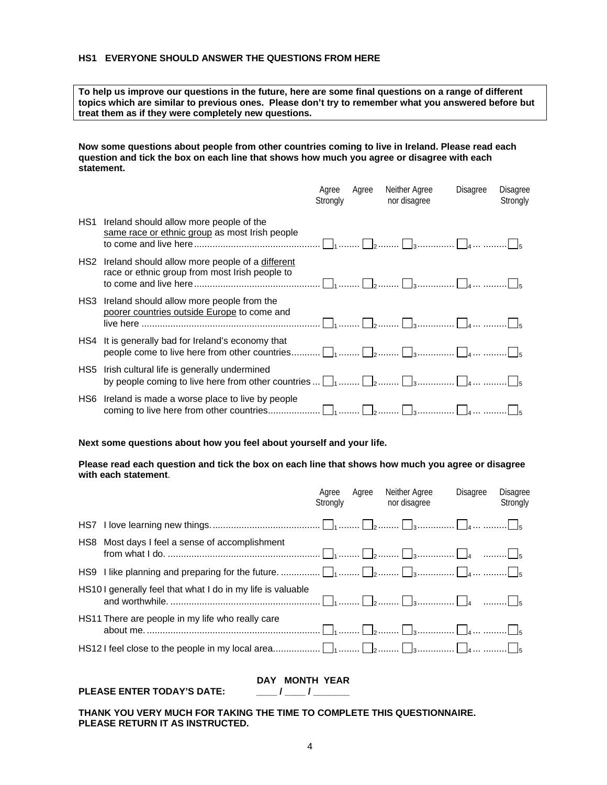### **HS1 EVERYONE SHOULD ANSWER THE QUESTIONS FROM HERE**

**To help us improve our questions in the future, here are some final questions on a range of different topics which are similar to previous ones. Please don't try to remember what you answered before but treat them as if they were completely new questions.** 

**Now some questions about people from other countries coming to live in Ireland. Please read each question and tick the box on each line that shows how much you agree or disagree with each statement.** 

|     |                                                                                                                                                | Agree<br>Strongly | Agree | Neither Agree<br>nor disagree | <b>Disagree</b> | <b>Disagree</b><br>Strongly |
|-----|------------------------------------------------------------------------------------------------------------------------------------------------|-------------------|-------|-------------------------------|-----------------|-----------------------------|
| HS1 | Ireland should allow more people of the<br>same race or ethnic group as most Irish people                                                      |                   |       |                               |                 |                             |
| HS2 | Ireland should allow more people of a different<br>race or ethnic group from most Irish people to                                              |                   |       |                               |                 |                             |
| HS3 | Ireland should allow more people from the<br>poorer countries outside Europe to come and                                                       |                   |       |                               |                 |                             |
| HS4 | It is generally bad for Ireland's economy that                                                                                                 |                   |       |                               |                 |                             |
| HS5 | Irish cultural life is generally undermined<br>by people coming to live here from other countries $\Box_1$ $\Box_2$ $\Box_3$ $\Box_4$ $\Box_5$ |                   |       |                               |                 |                             |
| HS6 | Ireland is made a worse place to live by people                                                                                                |                   |       |                               |                 |                             |

### **Next some questions about how you feel about yourself and your life.**

### **Please read each question and tick the box on each line that shows how much you agree or disagree with each statement**.

|     |                                                            | Agree<br>Strongly | Agree | Neither Agree<br>nor disagree | <b>Disagree</b> | Disagree<br>Strongly |
|-----|------------------------------------------------------------|-------------------|-------|-------------------------------|-----------------|----------------------|
|     |                                                            |                   |       |                               |                 |                      |
| HS8 | Most days I feel a sense of accomplishment                 |                   |       |                               |                 |                      |
|     |                                                            |                   |       |                               |                 |                      |
|     | HS101 generally feel that what I do in my life is valuable |                   |       |                               |                 |                      |
|     | HS11 There are people in my life who really care           |                   |       |                               |                 |                      |
|     |                                                            |                   |       |                               |                 |                      |

### PLEASE ENTER TODAY'S DATE: \_\_\_\_\_\_\_\_ / \_\_\_\_\_ / \_\_\_\_\_\_\_

 **DAY MONTH YEAR** 

**THANK YOU VERY MUCH FOR TAKING THE TIME TO COMPLETE THIS QUESTIONNAIRE. PLEASE RETURN IT AS INSTRUCTED.**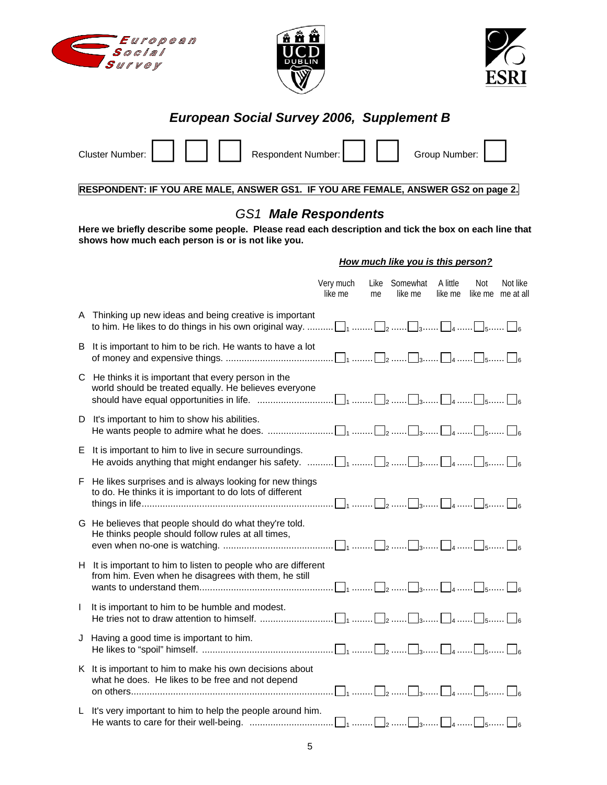





## *European Social Survey 2006, Supplement B*

| <b>Cluster Number:</b> |  | Respondent Number: |  | Group Number: |  |
|------------------------|--|--------------------|--|---------------|--|
|                        |  |                    |  |               |  |

**RESPONDENT: IF YOU ARE MALE, ANSWER GS1. IF YOU ARE FEMALE, ANSWER GS2 on page 2.** 

## *GS1 Male Respondents*

**Here we briefly describe some people. Please read each description and tick the box on each line that shows how much each person is or is not like you.** 

### *How much like you is this person?*

|              |                                                                                                                                                                         | Very much<br>like me | me | Like Somewhat<br>like me | A little<br>like me | Not | Not like<br>like me me at all |
|--------------|-------------------------------------------------------------------------------------------------------------------------------------------------------------------------|----------------------|----|--------------------------|---------------------|-----|-------------------------------|
|              | A Thinking up new ideas and being creative is important<br>to him. He likes to do things in his own original way. $\Box_1$ $\Box_2$ $\Box_3$ $\Box_4$ $\Box_5$ $\Box_6$ |                      |    |                          |                     |     |                               |
| В            | It is important to him to be rich. He wants to have a lot                                                                                                               |                      |    |                          |                     |     |                               |
|              | C He thinks it is important that every person in the<br>world should be treated equally. He believes everyone                                                           |                      |    |                          |                     |     |                               |
| D.           | It's important to him to show his abilities.                                                                                                                            |                      |    |                          |                     |     |                               |
|              | E It is important to him to live in secure surroundings.<br>He avoids anything that might endanger his safety. $\Box_1$ $\Box_2$ $\Box_3$ $\Box_4$ $\Box_5$ $\Box_6$    |                      |    |                          |                     |     |                               |
| F.           | He likes surprises and is always looking for new things<br>to do. He thinks it is important to do lots of different                                                     |                      |    |                          |                     |     |                               |
|              | G He believes that people should do what they're told.<br>He thinks people should follow rules at all times,                                                            |                      |    |                          |                     |     |                               |
|              | H It is important to him to listen to people who are different<br>from him. Even when he disagrees with them, he still                                                  |                      |    |                          |                     |     |                               |
| $\mathbf{I}$ | It is important to him to be humble and modest.                                                                                                                         |                      |    |                          |                     |     |                               |
|              | J Having a good time is important to him.                                                                                                                               |                      |    |                          |                     |     |                               |
|              | K It is important to him to make his own decisions about<br>what he does. He likes to be free and not depend                                                            |                      |    |                          |                     |     |                               |
|              | L It's very important to him to help the people around him.                                                                                                             |                      |    |                          |                     |     |                               |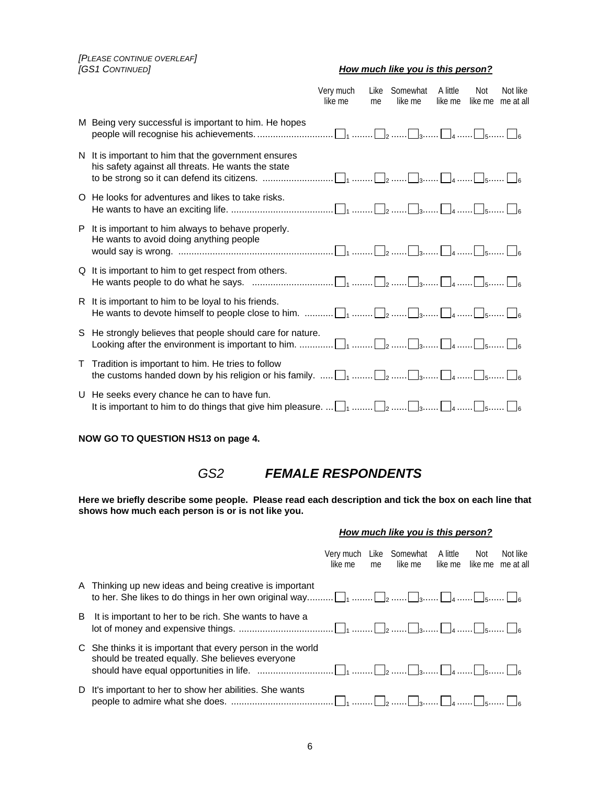*[PLEASE CONTINUE OVERLEAF] [GS1 CONTINUED] How much like you is this person?*

| How much like you is this person? |  |
|-----------------------------------|--|
|-----------------------------------|--|

|                                                                                                                                                                                                                                             | Very much<br>like me | me | Like Somewhat<br>like me | A little<br>like me | Not<br>like me | Not like<br>me at all |
|---------------------------------------------------------------------------------------------------------------------------------------------------------------------------------------------------------------------------------------------|----------------------|----|--------------------------|---------------------|----------------|-----------------------|
| M Being very successful is important to him. He hopes                                                                                                                                                                                       |                      |    |                          |                     |                |                       |
| N It is important to him that the government ensures<br>his safety against all threats. He wants the state                                                                                                                                  |                      |    |                          |                     |                |                       |
| O He looks for adventures and likes to take risks.                                                                                                                                                                                          |                      |    |                          |                     |                |                       |
| P It is important to him always to behave properly.<br>He wants to avoid doing anything people                                                                                                                                              |                      |    |                          |                     |                |                       |
| Q It is important to him to get respect from others.<br>He wants people to do what he says. $\ldots$ $\ldots$ $\ldots$ $\ldots$ $\ldots$ $\ldots$ $\ldots$ $\ldots$ $\ldots$ $\ldots$ $\ldots$ $\ldots$ $\ldots$ $\ldots$ $\ldots$ $\ldots$ |                      |    |                          |                     |                |                       |
| R It is important to him to be loyal to his friends.                                                                                                                                                                                        |                      |    |                          |                     |                |                       |
| S He strongly believes that people should care for nature.                                                                                                                                                                                  |                      |    |                          |                     |                |                       |
| T Tradition is important to him. He tries to follow<br>the customs handed down by his religion or his family. $\ldots$ $\Box_1$ $\ldots$ $\Box_2$ $\ldots$ $\Box_3$ $\ldots$ $\Box_4$ $\ldots$ $\Box_5$ $\ldots$ $\Box_6$                   |                      |    |                          |                     |                |                       |
| U He seeks every chance he can to have fun.                                                                                                                                                                                                 |                      |    |                          |                     |                |                       |

**NOW GO TO QUESTION HS13 on page 4.** 

### *GS2 FEMALE RESPONDENTS*

**Here we briefly describe some people. Please read each description and tick the box on each line that shows how much each person is or is not like you.** 

|  | How much like you is this person? |
|--|-----------------------------------|
|  |                                   |

|    |                                                                                                                 | like me | me | Very much Like Somewhat A little<br>like me | Not | Not like<br>like me like me me at all |
|----|-----------------------------------------------------------------------------------------------------------------|---------|----|---------------------------------------------|-----|---------------------------------------|
|    | A Thinking up new ideas and being creative is important                                                         |         |    |                                             |     |                                       |
| B  | It is important to her to be rich. She wants to have a                                                          |         |    |                                             |     |                                       |
|    | C She thinks it is important that every person in the world<br>should be treated equally. She believes everyone |         |    |                                             |     |                                       |
| D. | It's important to her to show her abilities. She wants                                                          |         |    |                                             |     |                                       |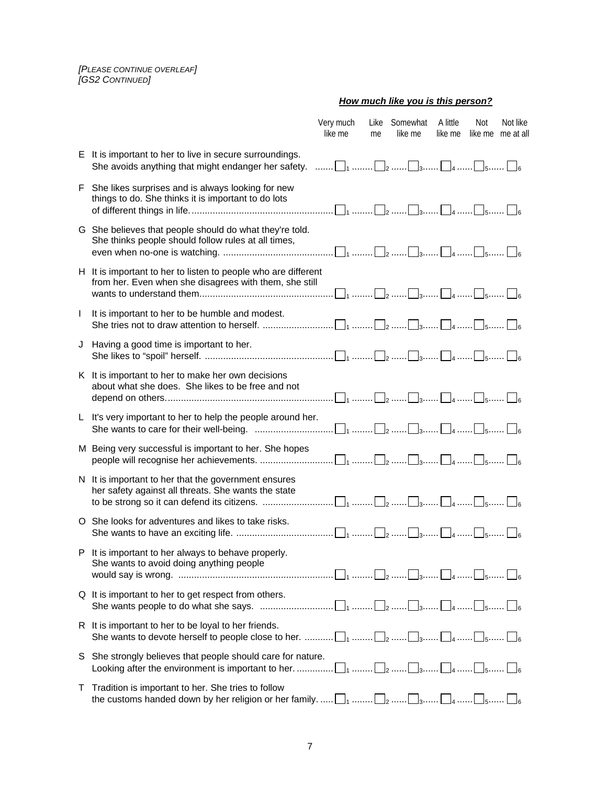*[PLEASE CONTINUE OVERLEAF] [GS2 CONTINUED]*

 *How much like you is this person?*

|              |                                                                                                                                                                                                                                | Very much<br>like me | Like<br>me | Somewhat<br>like me | A little<br>like me | Not | Not like<br>like me me at all |
|--------------|--------------------------------------------------------------------------------------------------------------------------------------------------------------------------------------------------------------------------------|----------------------|------------|---------------------|---------------------|-----|-------------------------------|
|              | E It is important to her to live in secure surroundings.<br>She avoids anything that might endanger her safety. $\ldots \ldots \square_1 \ldots \square_2 \ldots \square_3 \ldots \square_4 \ldots \square_5 \ldots \square_6$ |                      |            |                     |                     |     |                               |
| F.           | She likes surprises and is always looking for new<br>things to do. She thinks it is important to do lots                                                                                                                       |                      |            |                     |                     |     |                               |
|              | G She believes that people should do what they're told.<br>She thinks people should follow rules at all times,                                                                                                                 |                      |            |                     |                     |     |                               |
|              | H It is important to her to listen to people who are different<br>from her. Even when she disagrees with them, she still                                                                                                       |                      |            |                     |                     |     |                               |
| $\mathbf{I}$ | It is important to her to be humble and modest.                                                                                                                                                                                |                      |            |                     |                     |     |                               |
|              | J Having a good time is important to her.                                                                                                                                                                                      |                      |            |                     |                     |     |                               |
|              | K It is important to her to make her own decisions<br>about what she does. She likes to be free and not                                                                                                                        |                      |            |                     |                     |     |                               |
|              | L It's very important to her to help the people around her.<br>She wants to care for their well-being. $\ldots$ $\ldots$ $\ldots$ $\ldots$ $\ldots$ $\ldots$ $\ldots$ $\ldots$ $\ldots$ $\ldots$ $\ldots$ $\ldots$             |                      |            |                     |                     |     |                               |
|              | M Being very successful is important to her. She hopes                                                                                                                                                                         |                      |            |                     |                     |     |                               |
|              | N It is important to her that the government ensures<br>her safety against all threats. She wants the state                                                                                                                    |                      |            |                     |                     |     |                               |
|              | O She looks for adventures and likes to take risks.                                                                                                                                                                            |                      |            |                     |                     |     |                               |
|              | P It is important to her always to behave properly.<br>She wants to avoid doing anything people                                                                                                                                |                      |            |                     |                     |     |                               |
|              | Q It is important to her to get respect from others.<br>She wants people to do what she says. $\ldots$ $\ldots$ $\ldots$ $\ldots$ $\ldots$ $\ldots$ $\ldots$ $\ldots$ $\ldots$ $\ldots$ $\ldots$ $\ldots$                      |                      |            |                     |                     |     |                               |
|              | R It is important to her to be loyal to her friends.                                                                                                                                                                           |                      |            |                     |                     |     |                               |
|              | S She strongly believes that people should care for nature.                                                                                                                                                                    |                      |            |                     |                     |     |                               |
| Τ            | Tradition is important to her. She tries to follow<br>the customs handed down by her religion or her family. $\Box_1$ $\Box_2$ $\Box_3$ $\Box_4$ $\Box_5$ $\Box_6$                                                             |                      |            |                     |                     |     |                               |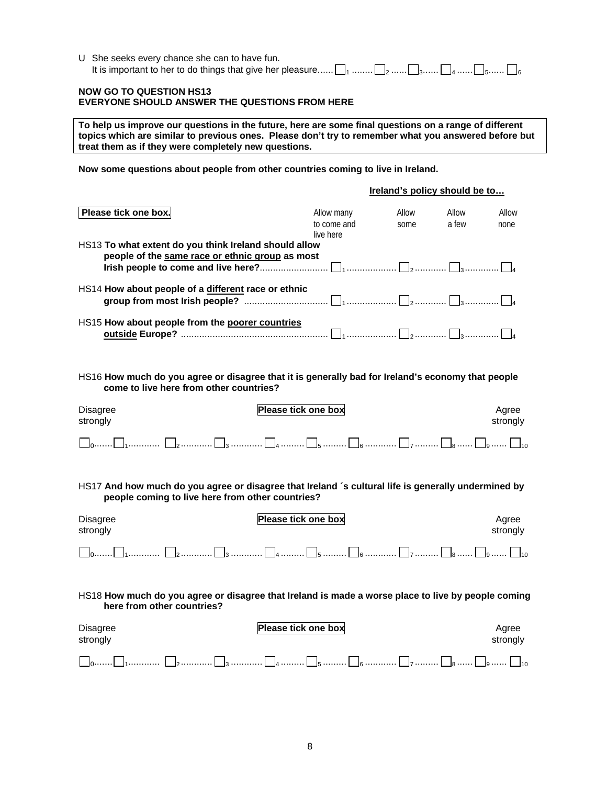| U She seeks every chance she can to have fun.                                                           |
|---------------------------------------------------------------------------------------------------------|
| It is important to her to do things that give her pleasure $\Box_1$ $\Box_2$ $\Box_4$ $\Box_5$ $\Box_6$ |

### **NOW GO TO QUESTION HS13 EVERYONE SHOULD ANSWER THE QUESTIONS FROM HERE**

**To help us improve our questions in the future, here are some final questions on a range of different topics which are similar to previous ones. Please don't try to remember what you answered before but treat them as if they were completely new questions.** 

**Now some questions about people from other countries coming to live in Ireland.** 

|                                                                                                          |                                        | Ireland's policy should be to |                |               |  |  |
|----------------------------------------------------------------------------------------------------------|----------------------------------------|-------------------------------|----------------|---------------|--|--|
| Please tick one box.                                                                                     | Allow many<br>to come and<br>live here | Allow<br>some                 | Allow<br>a few | Allow<br>none |  |  |
| HS13 To what extent do you think Ireland should allow<br>people of the same race or ethnic group as most |                                        |                               |                |               |  |  |
| HS14 How about people of a different race or ethnic                                                      |                                        |                               |                |               |  |  |
| HS15 How about people from the poorer countries                                                          |                                        |                               |                |               |  |  |

HS16 **How much do you agree or disagree that it is generally bad for Ireland's economy that people come to live here from other countries?** 

| Disagree | Please tick one box | Aaree    |  |
|----------|---------------------|----------|--|
| strongly |                     | strongly |  |
|          |                     |          |  |

HS17 **And how much do you agree or disagree that Ireland ´s cultural life is generally undermined by people coming to live here from other countries?**

| Disagree<br>strongly                                                                                                             | Please tick one box | Agree<br>strongly |  |  |  |  |
|----------------------------------------------------------------------------------------------------------------------------------|---------------------|-------------------|--|--|--|--|
|                                                                                                                                  |                     |                   |  |  |  |  |
| HS18 How much do you agree or disagree that Ireland is made a worse place to live by people coming<br>here from other countries? |                     |                   |  |  |  |  |
| Disagree<br>strongly                                                                                                             | Please tick one box | Agree<br>strongly |  |  |  |  |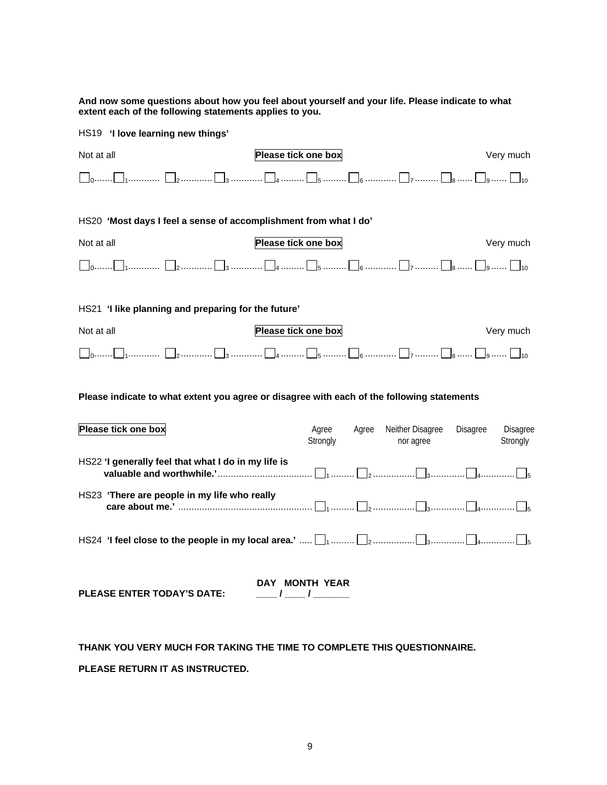**And now some questions about how you feel about yourself and your life. Please indicate to what extent each of the following statements applies to you.** 

| HS19 'I love learning new things'                                                          |                     |                                        |                                  |  |  |  |  |  |
|--------------------------------------------------------------------------------------------|---------------------|----------------------------------------|----------------------------------|--|--|--|--|--|
| Not at all                                                                                 | Please tick one box |                                        | Very much                        |  |  |  |  |  |
|                                                                                            |                     |                                        |                                  |  |  |  |  |  |
| HS20 'Most days I feel a sense of accomplishment from what I do'                           |                     |                                        |                                  |  |  |  |  |  |
| Not at all                                                                                 | Please tick one box |                                        | Very much                        |  |  |  |  |  |
|                                                                                            |                     |                                        |                                  |  |  |  |  |  |
|                                                                                            |                     |                                        |                                  |  |  |  |  |  |
| HS21 'I like planning and preparing for the future'                                        |                     |                                        |                                  |  |  |  |  |  |
| Not at all                                                                                 | Please tick one box |                                        | Very much                        |  |  |  |  |  |
| コ0……□」………… □2………… □3 ………… □4 ……… □ <sub>5</sub> ……… □6 ………… □7 ……… □8 …… □9…… □10          |                     |                                        |                                  |  |  |  |  |  |
| Please indicate to what extent you agree or disagree with each of the following statements |                     |                                        |                                  |  |  |  |  |  |
| Please tick one box                                                                        | Agree<br>Strongly   | Neither Disagree<br>Agree<br>nor agree | Disagree<br>Disagree<br>Strongly |  |  |  |  |  |
| HS22 'I generally feel that what I do in my life is                                        |                     |                                        |                                  |  |  |  |  |  |
| HS23 'There are people in my life who really                                               |                     |                                        |                                  |  |  |  |  |  |
|                                                                                            |                     |                                        |                                  |  |  |  |  |  |
|                                                                                            | DAY MONTH YEAR      |                                        |                                  |  |  |  |  |  |

**THANK YOU VERY MUCH FOR TAKING THE TIME TO COMPLETE THIS QUESTIONNAIRE. PLEASE RETURN IT AS INSTRUCTED.** 

**PLEASE ENTER TODAY'S DATE: \_\_\_\_ / \_\_\_\_ / \_\_\_\_\_\_\_**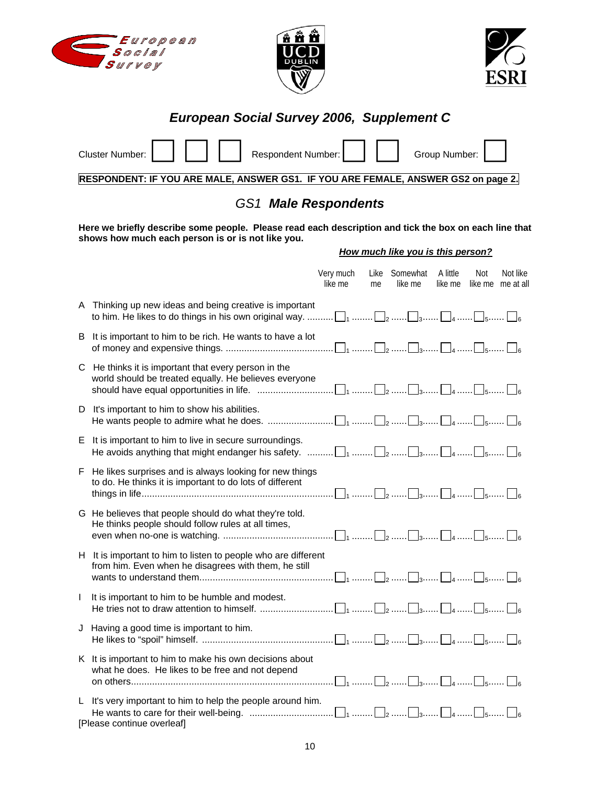





# *European Social Survey 2006, Supplement C*

|              | Respondent Number:<br><b>Cluster Number:</b>                                                                                                                                                                                |                      |            |                                   | Group Number:       |     |                               |
|--------------|-----------------------------------------------------------------------------------------------------------------------------------------------------------------------------------------------------------------------------|----------------------|------------|-----------------------------------|---------------------|-----|-------------------------------|
|              | RESPONDENT: IF YOU ARE MALE, ANSWER GS1. IF YOU ARE FEMALE, ANSWER GS2 on page 2.                                                                                                                                           |                      |            |                                   |                     |     |                               |
|              | <b>GS1 Male Respondents</b>                                                                                                                                                                                                 |                      |            |                                   |                     |     |                               |
|              | Here we briefly describe some people. Please read each description and tick the box on each line that<br>shows how much each person is or is not like you.                                                                  |                      |            |                                   |                     |     |                               |
|              |                                                                                                                                                                                                                             |                      |            | How much like you is this person? |                     |     |                               |
|              |                                                                                                                                                                                                                             | Very much<br>like me | Like<br>me | Somewhat<br>like me               | A little<br>like me | Not | Not like<br>like me me at all |
|              | A Thinking up new ideas and being creative is important                                                                                                                                                                     |                      |            |                                   |                     |     |                               |
|              | B It is important to him to be rich. He wants to have a lot                                                                                                                                                                 |                      |            |                                   |                     |     |                               |
|              | C He thinks it is important that every person in the<br>world should be treated equally. He believes everyone                                                                                                               |                      |            |                                   |                     |     |                               |
|              | D It's important to him to show his abilities.                                                                                                                                                                              |                      |            |                                   |                     |     |                               |
| Е.           | It is important to him to live in secure surroundings.<br>He avoids anything that might endanger his safety. $\ldots \ldots \square_1 \ldots \square_2 \ldots \square_3 \ldots \square_4 \ldots \square_5 \ldots \square_6$ |                      |            |                                   |                     |     |                               |
|              | F He likes surprises and is always looking for new things<br>to do. He thinks it is important to do lots of different                                                                                                       |                      |            |                                   |                     |     |                               |
|              | G He believes that people should do what they're told.<br>He thinks people should follow rules at all times,                                                                                                                |                      |            |                                   |                     |     |                               |
|              | H It is important to him to listen to people who are different<br>from him. Even when he disagrees with them, he still                                                                                                      |                      |            |                                   |                     |     |                               |
| $\mathbf{I}$ | It is important to him to be humble and modest.                                                                                                                                                                             |                      |            |                                   |                     |     |                               |
| J            | Having a good time is important to him.                                                                                                                                                                                     |                      |            |                                   |                     |     |                               |
|              | K It is important to him to make his own decisions about<br>what he does. He likes to be free and not depend                                                                                                                |                      |            |                                   |                     |     |                               |
|              | L It's very important to him to help the people around him.<br>[Please continue overleaf]                                                                                                                                   |                      |            |                                   |                     |     |                               |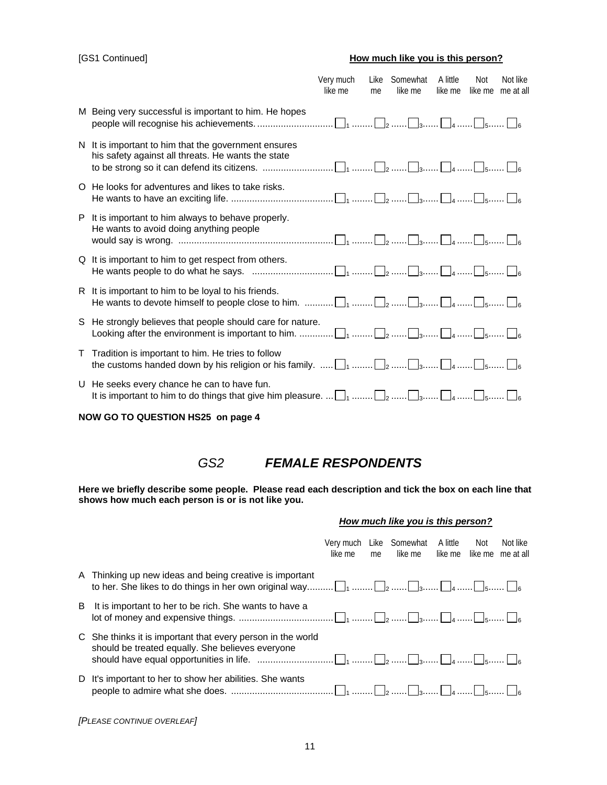### [GS1 Continued] **How much like you is this person?**

|                                                                                                            | like me | me                                                                      | like me | A little<br>like me | Not      | Not like<br>like me me at all                                                                                                                                                                                                                                                                                                                                                                                                       |
|------------------------------------------------------------------------------------------------------------|---------|-------------------------------------------------------------------------|---------|---------------------|----------|-------------------------------------------------------------------------------------------------------------------------------------------------------------------------------------------------------------------------------------------------------------------------------------------------------------------------------------------------------------------------------------------------------------------------------------|
| M Being very successful is important to him. He hopes                                                      |         |                                                                         |         |                     |          |                                                                                                                                                                                                                                                                                                                                                                                                                                     |
| N It is important to him that the government ensures<br>his safety against all threats. He wants the state |         |                                                                         |         |                     |          |                                                                                                                                                                                                                                                                                                                                                                                                                                     |
| O He looks for adventures and likes to take risks.                                                         |         |                                                                         |         |                     |          |                                                                                                                                                                                                                                                                                                                                                                                                                                     |
| It is important to him always to behave properly.<br>P.<br>He wants to avoid doing anything people         |         |                                                                         |         |                     |          |                                                                                                                                                                                                                                                                                                                                                                                                                                     |
| Q It is important to him to get respect from others.                                                       |         |                                                                         |         |                     |          |                                                                                                                                                                                                                                                                                                                                                                                                                                     |
| R It is important to him to be loyal to his friends.                                                       |         |                                                                         |         |                     |          |                                                                                                                                                                                                                                                                                                                                                                                                                                     |
|                                                                                                            |         |                                                                         |         |                     |          |                                                                                                                                                                                                                                                                                                                                                                                                                                     |
| T Tradition is important to him. He tries to follow                                                        |         |                                                                         |         |                     |          |                                                                                                                                                                                                                                                                                                                                                                                                                                     |
| U He seeks every chance he can to have fun.                                                                |         |                                                                         |         |                     |          |                                                                                                                                                                                                                                                                                                                                                                                                                                     |
|                                                                                                            |         | Very much<br>S He strongly believes that people should care for nature. |         | Like                | Somewhat | He wants people to do what he says. $\ldots$ $\ldots$ $\ldots$ $\ldots$ $\ldots$ $\ldots$ $\ldots$ $\ldots$ $\ldots$ $\ldots$ $\ldots$ $\ldots$ $\ldots$ $\ldots$ $\ldots$ $\ldots$<br>the customs handed down by his religion or his family. $\ldots$ . $\Box_1$ $\Box_2$ $\Box_3$ $\Box_4$ $\Box_5$ $\Box_6$<br>It is important to him to do things that give him pleasure. $\Box_1$ $\Box_2$ $\Box_3$ $\Box_4$ $\Box_5$ $\Box_6$ |

**NOW GO TO QUESTION HS25 on page 4** 

*GS2 FEMALE RESPONDENTS* 

**Here we briefly describe some people. Please read each description and tick the box on each line that shows how much each person is or is not like you.** 

### *How much like you is this person?*

|    |                                                                                                                                                                                                                                                                                                                      | like me | me. | Very much Like Somewhat A little<br>like me | – Not<br>like me like me | Not like<br>me at all |
|----|----------------------------------------------------------------------------------------------------------------------------------------------------------------------------------------------------------------------------------------------------------------------------------------------------------------------|---------|-----|---------------------------------------------|--------------------------|-----------------------|
|    | A Thinking up new ideas and being creative is important                                                                                                                                                                                                                                                              |         |     |                                             |                          |                       |
| B. | It is important to her to be rich. She wants to have a                                                                                                                                                                                                                                                               |         |     |                                             |                          |                       |
|    | C She thinks it is important that every person in the world<br>should be treated equally. She believes everyone<br>should have equal opportunities in life. $\ldots$ $\ldots$ $\ldots$ $\ldots$ $\ldots$ $\ldots$ $\ldots$ $\ldots$ $\ldots$ $\ldots$ $\ldots$ $\ldots$ $\ldots$ $\ldots$ $\ldots$ $\ldots$ $\ldots$ |         |     |                                             |                          |                       |
| D. | It's important to her to show her abilities. She wants                                                                                                                                                                                                                                                               |         |     |                                             |                          |                       |

*[PLEASE CONTINUE OVERLEAF]*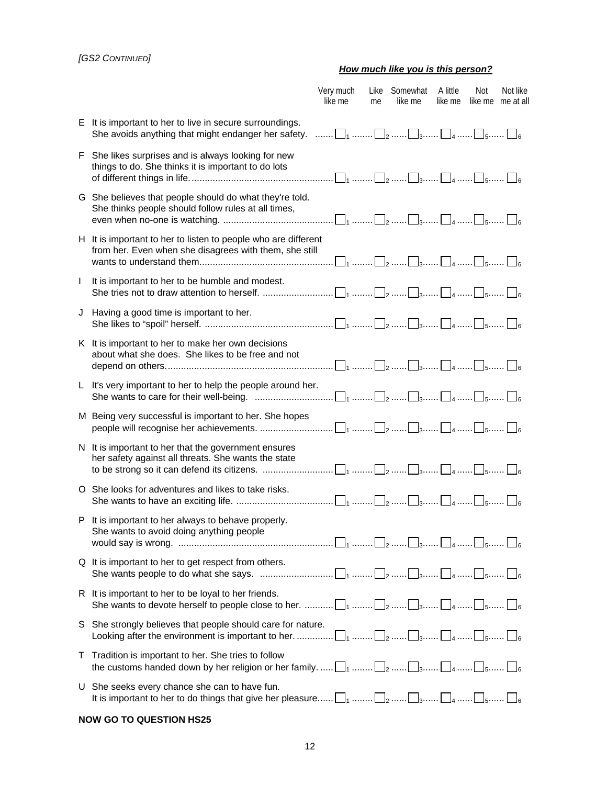### *[GS2 CONTINUED]*

### *How much like you is this person?*

|    |                                                                                                                                                                                                                                | Very much<br>like me | me | Like Somewhat<br>like me | A little<br>like me | Not | Not like<br>like me me at all |
|----|--------------------------------------------------------------------------------------------------------------------------------------------------------------------------------------------------------------------------------|----------------------|----|--------------------------|---------------------|-----|-------------------------------|
|    | E It is important to her to live in secure surroundings.<br>She avoids anything that might endanger her safety. $\ldots \ldots \square_1 \ldots \square_2 \ldots \square_3 \ldots \square_4 \ldots \square_5 \ldots \square_6$ |                      |    |                          |                     |     |                               |
| F. | She likes surprises and is always looking for new<br>things to do. She thinks it is important to do lots                                                                                                                       |                      |    |                          |                     |     |                               |
|    | G She believes that people should do what they're told.<br>She thinks people should follow rules at all times,                                                                                                                 |                      |    |                          |                     |     |                               |
|    | H It is important to her to listen to people who are different<br>from her. Even when she disagrees with them, she still                                                                                                       |                      |    |                          |                     |     |                               |
| I. | It is important to her to be humble and modest.                                                                                                                                                                                |                      |    |                          |                     |     |                               |
|    | J Having a good time is important to her.                                                                                                                                                                                      |                      |    |                          |                     |     |                               |
|    | K It is important to her to make her own decisions<br>about what she does. She likes to be free and not                                                                                                                        |                      |    |                          |                     |     |                               |
|    | L It's very important to her to help the people around her.                                                                                                                                                                    |                      |    |                          |                     |     |                               |
|    | M Being very successful is important to her. She hopes                                                                                                                                                                         |                      |    |                          |                     |     |                               |
|    | N It is important to her that the government ensures<br>her safety against all threats. She wants the state                                                                                                                    |                      |    |                          |                     |     |                               |
|    | O She looks for adventures and likes to take risks.                                                                                                                                                                            |                      |    |                          |                     |     |                               |
|    | P It is important to her always to behave properly.<br>She wants to avoid doing anything people                                                                                                                                |                      |    |                          |                     |     |                               |
|    | Q It is important to her to get respect from others.                                                                                                                                                                           |                      |    |                          |                     |     |                               |
|    | R It is important to her to be loyal to her friends.                                                                                                                                                                           |                      |    |                          |                     |     |                               |
| S. | She strongly believes that people should care for nature.                                                                                                                                                                      |                      |    |                          |                     |     |                               |
|    | T Tradition is important to her. She tries to follow<br>the customs handed down by her religion or her family. $\Box_1$ $\Box_2$ $\Box_3$ $\Box_4$ $\Box_5$ $\Box_6$                                                           |                      |    |                          |                     |     |                               |
|    | U She seeks every chance she can to have fun.<br>It is important to her to do things that give her pleasure $\Box_1$ $\Box_2$ $\Box_3$ $\Box_4$ $\Box_5$ $\Box_6$                                                              |                      |    |                          |                     |     |                               |

### **NOW GO TO QUESTION HS25**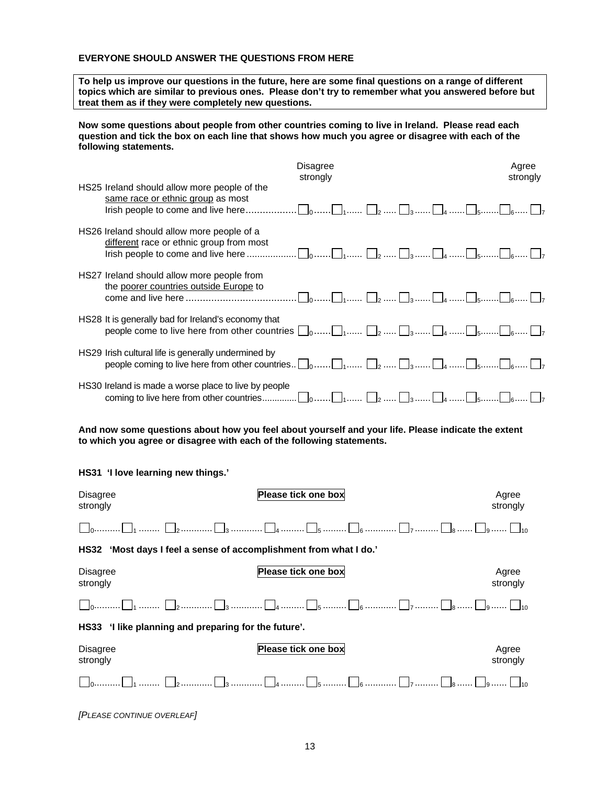#### **EVERYONE SHOULD ANSWER THE QUESTIONS FROM HERE**

**To help us improve our questions in the future, here are some final questions on a range of different topics which are similar to previous ones. Please don't try to remember what you answered before but treat them as if they were completely new questions.** 

**Now some questions about people from other countries coming to live in Ireland. Please read each question and tick the box on each line that shows how much you agree or disagree with each of the following statements.**

| <b>Disagree</b><br>strongly                                                                                                                                                    | Agree<br>strongly |
|--------------------------------------------------------------------------------------------------------------------------------------------------------------------------------|-------------------|
| HS25 Ireland should allow more people of the<br>same race or ethnic group as most                                                                                              |                   |
| HS26 Ireland should allow more people of a<br>different race or ethnic group from most                                                                                         |                   |
| HS27 Ireland should allow more people from<br>the poorer countries outside Europe to                                                                                           |                   |
| HS28 It is generally bad for Ireland's economy that<br>people come to live here from other countries $\Box_0$ $\Box_1$ $\Box_2$ $\Box_3$ $\Box_5$ $\Box_6$ $\Box_7$            |                   |
| HS29 Irish cultural life is generally undermined by<br>people coming to live here from other countries $\Box_0$ $\Box_1$ $\Box_2$ $\Box_3$ $\Box_4$ $\Box_5$ $\Box_6$ $\Box_7$ |                   |
| HS30 Ireland is made a worse place to live by people                                                                                                                           |                   |

**And now some questions about how you feel about yourself and your life. Please indicate the extent to which you agree or disagree with each of the following statements.** 

**HS31 'I love learning new things.'** 

| <b>Disagree</b><br>strongly                                                 | Please tick one box | Agree<br>strongly |  |
|-----------------------------------------------------------------------------|---------------------|-------------------|--|
|                                                                             |                     |                   |  |
| 'Most days I feel a sense of accomplishment from what I do.'<br><b>HS32</b> |                     |                   |  |
| <b>Disagree</b><br>strongly                                                 | Please tick one box | Agree<br>strongly |  |
|                                                                             |                     |                   |  |
| HS33 'I like planning and preparing for the future'.                        |                     |                   |  |
| <b>Disagree</b><br>strongly                                                 | Please tick one box | Agree<br>strongly |  |
|                                                                             |                     |                   |  |

*[PLEASE CONTINUE OVERLEAF]*